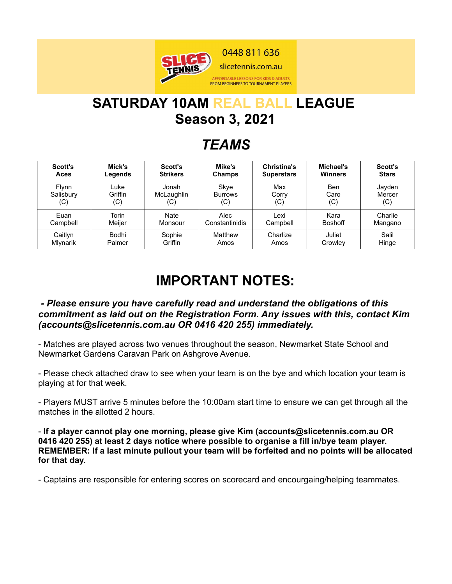

# **SATURDAY 10AM REAL BALL LEAGUE Season 3, 2021**

## *TEAMS*

| Scott's      | Mick's  | <b>Scott's</b>  | Mike's         | Christina's       | Michael's      | <b>Scott's</b> |
|--------------|---------|-----------------|----------------|-------------------|----------------|----------------|
| Aces         | Legends | <b>Strikers</b> | <b>Champs</b>  | <b>Superstars</b> | <b>Winners</b> | <b>Stars</b>   |
| <b>Flynn</b> | Luke    | Jonah           | Skye           | Max               | Ben            | Jayden         |
| Salisbury    | Griffin | McLaughlin      | Burrows        | Corry             | Caro           | Mercer         |
| (C)          | (C)     | (C)             | (C)            | (C)               | (C)            | (C)            |
| Euan         | Torin   | Nate            | Alec           | Lexi              | Kara           | Charlie        |
| Campbell     | Meiier  | Monsour         | Constantinidis | Campbell          | <b>Boshoff</b> | Mangano        |
| Caitlyn      | Bodhi   | Sophie          | Matthew        | Charlize          | Juliet         | Salil          |
| Mlynarik     | Palmer  | Griffin         | Amos           | Amos              | Crowley        | Hinge          |

## **IMPORTANT NOTES:**

#### *- Please ensure you have carefully read and understand the obligations of this commitment as laid out on the Registration Form. Any issues with this, contact Kim (accounts@slicetennis.com.au OR 0416 420 255) immediately.*

- Matches are played across two venues throughout the season, Newmarket State School and Newmarket Gardens Caravan Park on Ashgrove Avenue.

- Please check attached draw to see when your team is on the bye and which location your team is playing at for that week.

- Players MUST arrive 5 minutes before the 10:00am start time to ensure we can get through all the matches in the allotted 2 hours.

- **If a player cannot play one morning, please give Kim (accounts@slicetennis.com.au OR 0416 420 255) at least 2 days notice where possible to organise a fill in/bye team player. REMEMBER: If a last minute pullout your team will be forfeited and no points will be allocated for that day.**

- Captains are responsible for entering scores on scorecard and encourgaing/helping teammates.